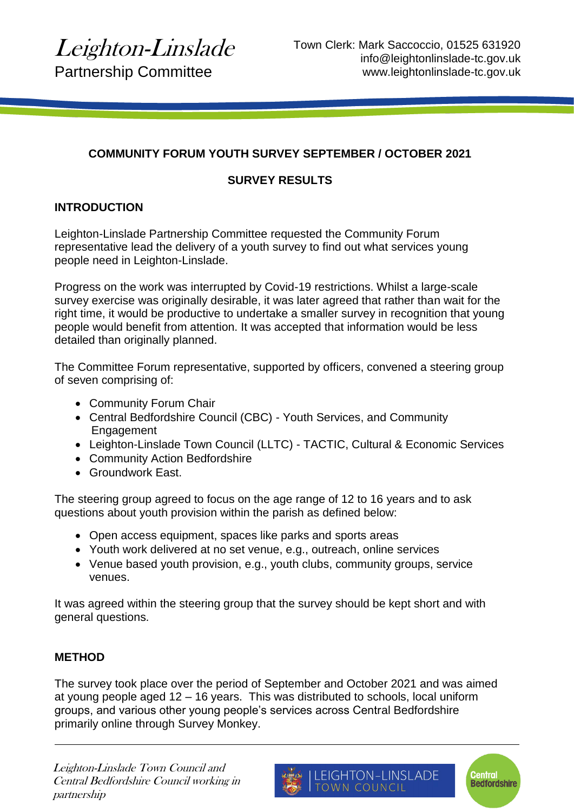## **COMMUNITY FORUM YOUTH SURVEY SEPTEMBER / OCTOBER 2021**

## **SURVEY RESULTS**

# **INTRODUCTION**

Leighton-Linslade Partnership Committee requested the Community Forum representative lead the delivery of a youth survey to find out what services young people need in Leighton-Linslade.

Progress on the work was interrupted by Covid-19 restrictions. Whilst a large-scale survey exercise was originally desirable, it was later agreed that rather than wait for the right time, it would be productive to undertake a smaller survey in recognition that young people would benefit from attention. It was accepted that information would be less detailed than originally planned.

The Committee Forum representative, supported by officers, convened a steering group of seven comprising of:

- Community Forum Chair
- Central Bedfordshire Council (CBC) Youth Services, and Community **Engagement**
- Leighton-Linslade Town Council (LLTC) TACTIC, Cultural & Economic Services
- Community Action Bedfordshire
- Groundwork East.

The steering group agreed to focus on the age range of 12 to 16 years and to ask questions about youth provision within the parish as defined below:

- Open access equipment, spaces like parks and sports areas
- Youth work delivered at no set venue, e.g., outreach, online services
- Venue based youth provision, e.g., youth clubs, community groups, service venues.

It was agreed within the steering group that the survey should be kept short and with general questions.

## **METHOD**

The survey took place over the period of September and October 2021 and was aimed at young people aged 12 – 16 years. This was distributed to schools, local uniform groups, and various other young people's services across Central Bedfordshire primarily online through Survey Monkey.

Leighton-Linslade Town Council and Central Bedfordshire Council working in partnership



**Central<br>Bedfordshire**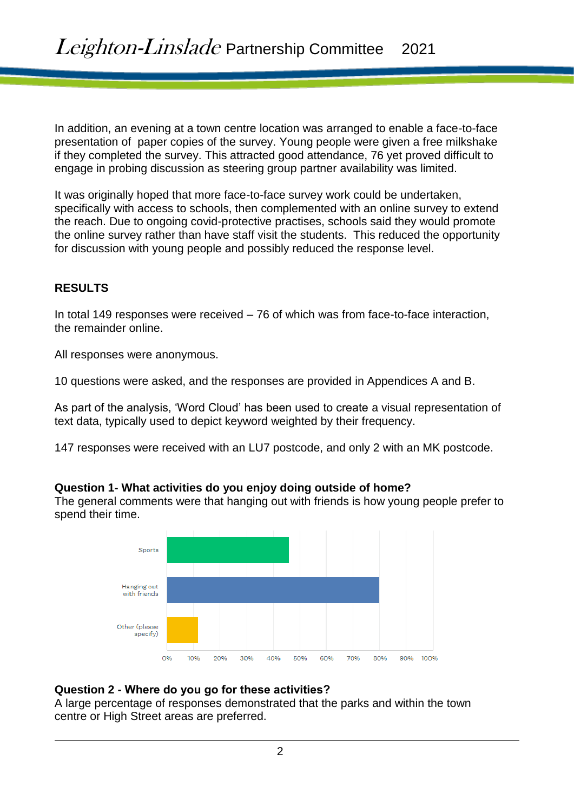In addition, an evening at a town centre location was arranged to enable a face-to-face presentation of paper copies of the survey. Young people were given a free milkshake if they completed the survey. This attracted good attendance, 76 yet proved difficult to engage in probing discussion as steering group partner availability was limited.

It was originally hoped that more face-to-face survey work could be undertaken, specifically with access to schools, then complemented with an online survey to extend the reach. Due to ongoing covid-protective practises, schools said they would promote the online survey rather than have staff visit the students. This reduced the opportunity for discussion with young people and possibly reduced the response level.

### **RESULTS**

In total 149 responses were received – 76 of which was from face-to-face interaction, the remainder online.

All responses were anonymous.

10 questions were asked, and the responses are provided in Appendices A and B.

As part of the analysis, 'Word Cloud' has been used to create a visual representation of text data, typically used to depict keyword weighted by their frequency.

147 responses were received with an LU7 postcode, and only 2 with an MK postcode.

#### **Question 1- What activities do you enjoy doing outside of home?**

The general comments were that hanging out with friends is how young people prefer to spend their time.



### **Question 2 - Where do you go for these activities?**

A large percentage of responses demonstrated that the parks and within the town centre or High Street areas are preferred.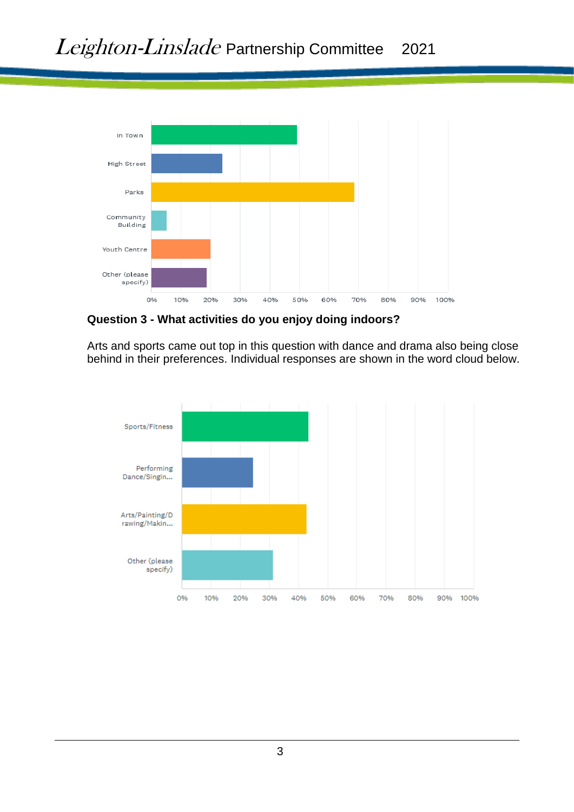

**Question 3 - What activities do you enjoy doing indoors?**

Arts and sports came out top in this question with dance and drama also being close behind in their preferences. Individual responses are shown in the word cloud below.

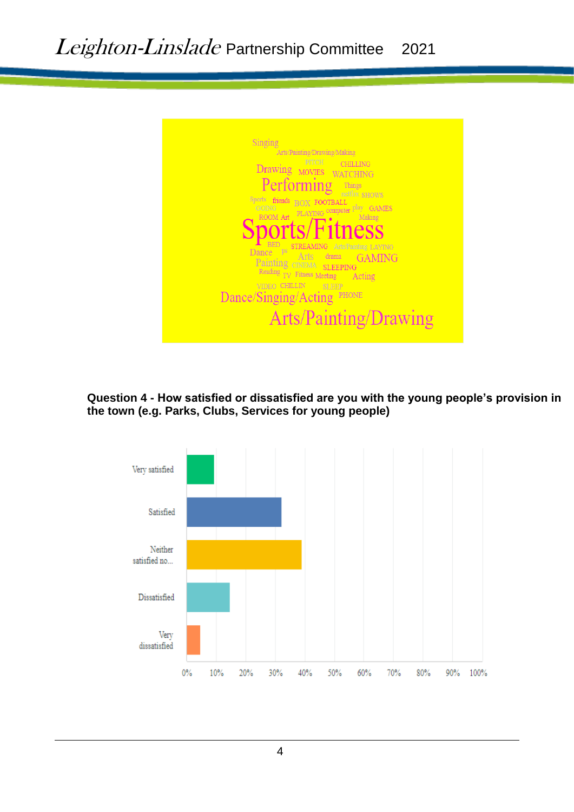

**Question 4 - How satisfied or dissatisfied are you with the young people's provision in the town (e.g. Parks, Clubs, Services for young people)**

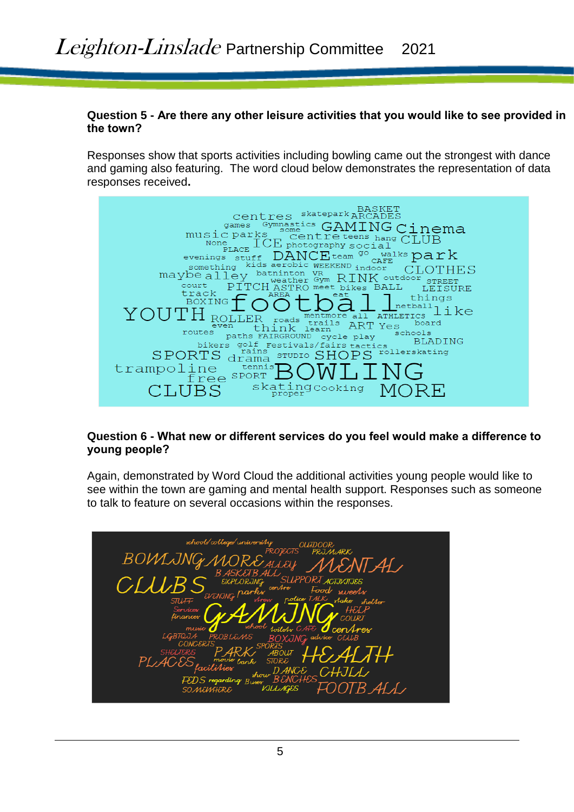### **Question 5 - Are there any other leisure activities that you would like to see provided in the town?**

Responses show that sports activities including bowling came out the strongest with dance and gaming also featuring. The word cloud below demonstrates the representation of data responses received**.**



### **Question 6 - What new or different services do you feel would make a difference to young people?**

Again, demonstrated by Word Cloud the additional activities young people would like to see within the town are gaming and mental health support. Responses such as someone to talk to feature on several occasions within the responses.

| school/college/universiAy<br>OUJDOOR<br><b>PROJECTS</b><br>PRJMARK                                              |
|-----------------------------------------------------------------------------------------------------------------|
| BOWLJNG<br>10RE ALEY<br>ENT AL                                                                                  |
| <b>BASKETBALL</b><br>SUPPORI <i>a</i> ctovotoes<br>CLUB<br>EXPLORING<br>EVENING parks<br>cen/Ire<br>Food sweets |
| police TALK Aake sheller<br>STL/F<br>stress<br>Services<br>finances                                             |
| school foilets CAFE<br>cen Aresc                                                                                |
| LGBTQ<br>0B LE./<br>ИS<br>NG advice<br>BO)<br>sports<br>CLUB<br>$\lambda +$<br>SHELTERS<br><b>ABOUT</b>         |
| PL<br>bank STORE<br>CHJLL<br>DANCE<br>show<br><b>BENCL</b><br><b>FEDS</b> regarding Buses                       |
| FOOTB ALL<br>VJLLAGES<br>SOMEWHERE                                                                              |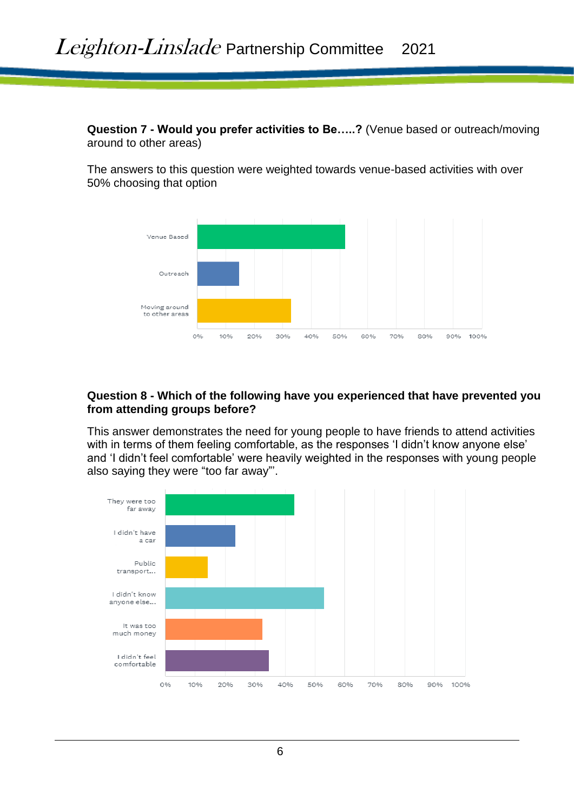**Question 7 - Would you prefer activities to Be…..?** (Venue based or outreach/moving around to other areas)

The answers to this question were weighted towards venue-based activities with over 50% choosing that option



### **Question 8 - Which of the following have you experienced that have prevented you from attending groups before?**

This answer demonstrates the need for young people to have friends to attend activities with in terms of them feeling comfortable, as the responses 'I didn't know anyone else' and 'I didn't feel comfortable' were heavily weighted in the responses with young people also saying they were "too far away"'.

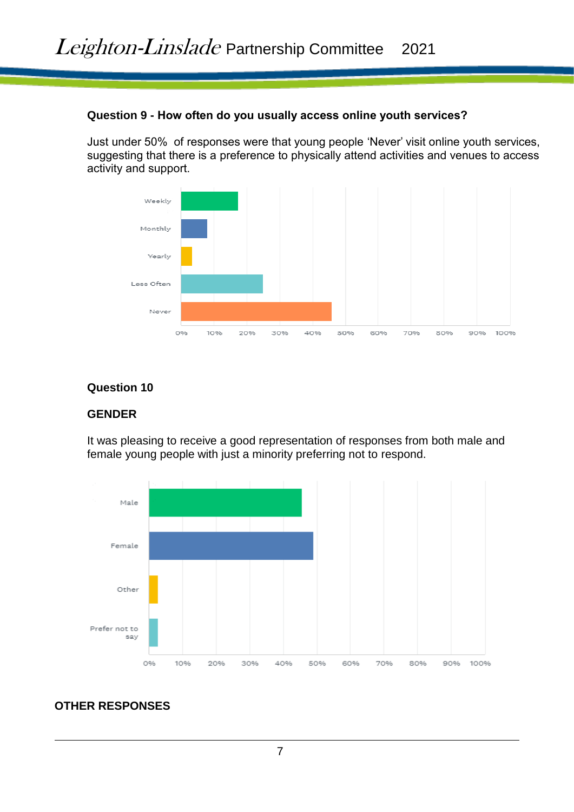### **Question 9 - How often do you usually access online youth services?**

Just under 50% of responses were that young people 'Never' visit online youth services, suggesting that there is a preference to physically attend activities and venues to access activity and support.



### **Question 10**

## **GENDER**

It was pleasing to receive a good representation of responses from both male and female young people with just a minority preferring not to respond.



# **OTHER RESPONSES**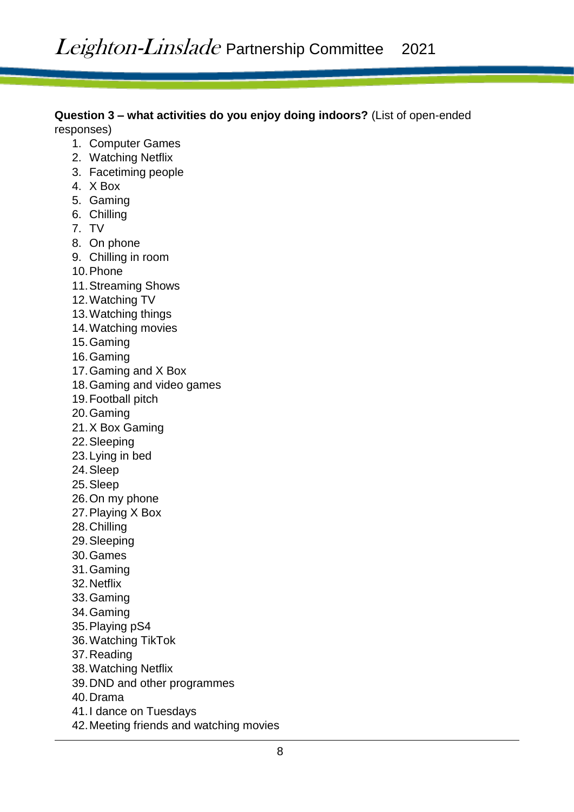**Question 3 – what activities do you enjoy doing indoors?** (List of open-ended responses)

- 1. Computer Games
- 2. Watching Netflix
- 3. Facetiming people
- 4. X Box
- 5. Gaming
- 6. Chilling
- 7. TV
- 8. On phone
- 9. Chilling in room
- 10.Phone
- 11.Streaming Shows
- 12.Watching TV
- 13.Watching things
- 14.Watching movies
- 15.Gaming
- 16.Gaming
- 17.Gaming and X Box
- 18.Gaming and video games
- 19.Football pitch
- 20.Gaming
- 21.X Box Gaming
- 22.Sleeping
- 23.Lying in bed
- 24.Sleep
- 25.Sleep
- 26.On my phone
- 27.Playing X Box
- 28.Chilling
- 29.Sleeping
- 30.Games
- 31.Gaming
- 32.Netflix
- 33.Gaming
- 34.Gaming
- 35.Playing pS4
- 36.Watching TikTok
- 37.Reading
- 38.Watching Netflix
- 39.DND and other programmes
- 40.Drama
- 41.I dance on Tuesdays
- 42.Meeting friends and watching movies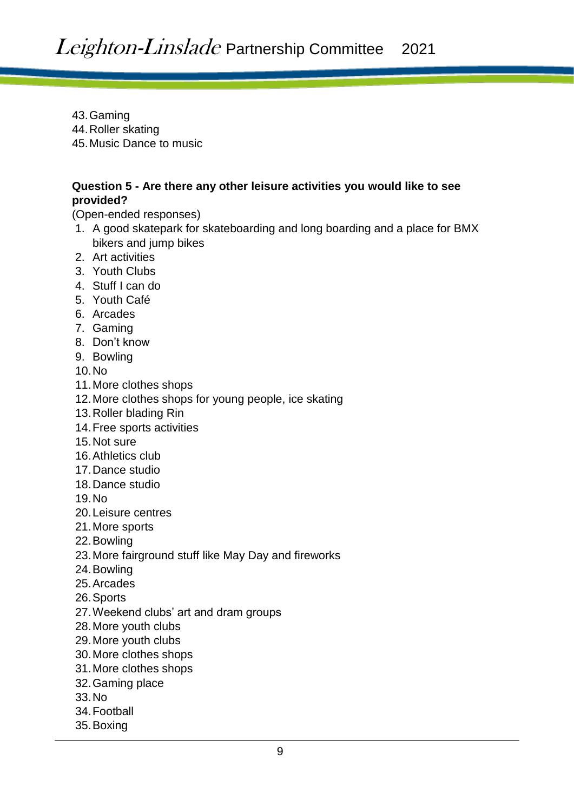- 43.Gaming
- 44.Roller skating
- 45.Music Dance to music

## **Question 5 - Are there any other leisure activities you would like to see provided?**

(Open-ended responses)

- 1. A good skatepark for skateboarding and long boarding and a place for BMX bikers and jump bikes
- 2. Art activities
- 3. Youth Clubs
- 4. Stuff I can do
- 5. Youth Café
- 6. Arcades
- 7. Gaming
- 8. Don't know
- 9. Bowling

10.No

- 11.More clothes shops
- 12.More clothes shops for young people, ice skating
- 13.Roller blading Rin
- 14.Free sports activities
- 15.Not sure
- 16.Athletics club
- 17.Dance studio
- 18.Dance studio

19.No

- 20.Leisure centres
- 21.More sports
- 22.Bowling
- 23.More fairground stuff like May Day and fireworks
- 24.Bowling
- 25.Arcades
- 26.Sports
- 27.Weekend clubs' art and dram groups
- 28.More youth clubs
- 29.More youth clubs
- 30.More clothes shops
- 31.More clothes shops
- 32.Gaming place
- 33.No
- 34.Football
- 35.Boxing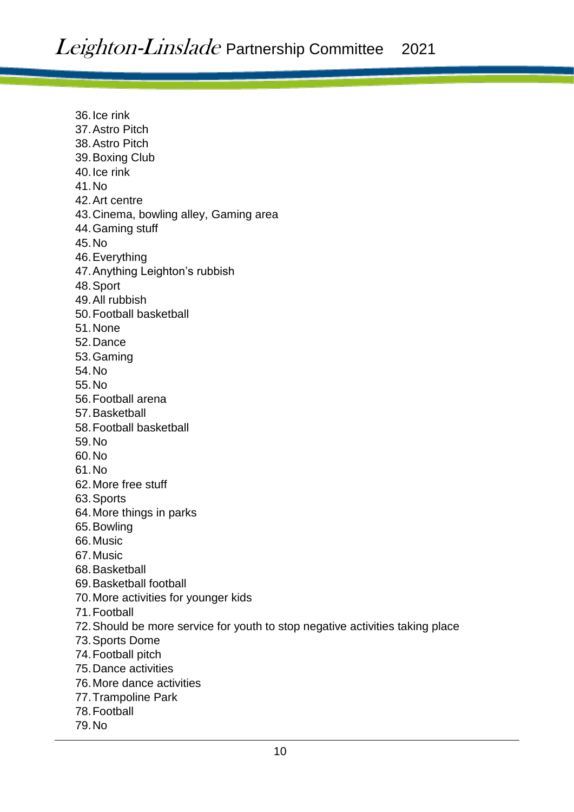36.Ice rink 37.Astro Pitch 38.Astro Pitch 39.Boxing Club 40.Ice rink 41.No 42.Art centre 43.Cinema, bowling alley, Gaming area 44.Gaming stuff 45.No 46.Everything 47.Anything Leighton's rubbish 48.Sport 49.All rubbish 50.Football basketball 51.None 52.Dance 53.Gaming 54.No 55.No 56.Football arena 57.Basketball 58.Football basketball 59.No 60.No 61.No 62.More free stuff 63.Sports 64.More things in parks 65.Bowling 66.Music 67.Music 68.Basketball 69.Basketball football 70.More activities for younger kids 71.Football 72.Should be more service for youth to stop negative activities taking place 73.Sports Dome 74.Football pitch 75.Dance activities 76.More dance activities 77.Trampoline Park 78.Football 79.No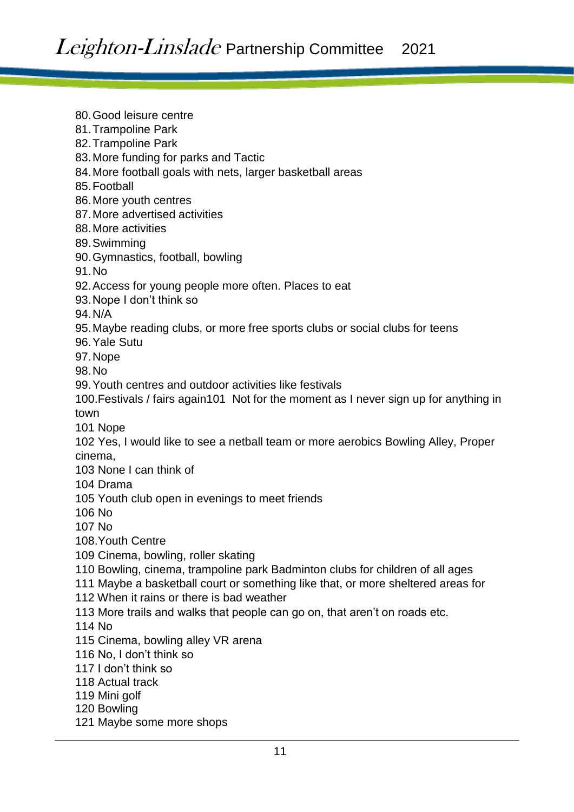80.Good leisure centre 81.Trampoline Park 82.Trampoline Park 83.More funding for parks and Tactic 84.More football goals with nets, larger basketball areas 85.Football 86.More youth centres 87.More advertised activities 88.More activities 89.Swimming 90.Gymnastics, football, bowling 91.No 92.Access for young people more often. Places to eat 93.Nope I don't think so 94.N/A 95.Maybe reading clubs, or more free sports clubs or social clubs for teens 96.Yale Sutu 97.Nope 98.No 99.Youth centres and outdoor activities like festivals 100.Festivals / fairs again101 Not for the moment as I never sign up for anything in town 101 Nope 102 Yes, I would like to see a netball team or more aerobics Bowling Alley, Proper cinema, 103 None I can think of 104 Drama 105 Youth club open in evenings to meet friends 106 No 107 No 108.Youth Centre 109 Cinema, bowling, roller skating 110 Bowling, cinema, trampoline park Badminton clubs for children of all ages 111 Maybe a basketball court or something like that, or more sheltered areas for 112 When it rains or there is bad weather 113 More trails and walks that people can go on, that aren't on roads etc. 114 No 115 Cinema, bowling alley VR arena 116 No, I don't think so 117 I don't think so 118 Actual track 119 Mini golf 120 Bowling 121 Maybe some more shops